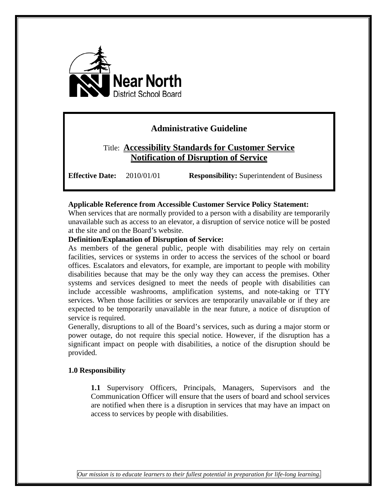

# **Administrative Guideline**

# Title: **Accessibility Standards for Customer Service Notification of Disruption of Service**

**Effective Date:** 2010/01/01 **Responsibility:** Superintendent of Business

### **Applicable Reference from Accessible Customer Service Policy Statement:**

When services that are normally provided to a person with a disability are temporarily unavailable such as access to an elevator, a disruption of service notice will be posted at the site and on the Board's website.

#### **Definition/Explanation of Disruption of Service:**

As members of the general public, people with disabilities may rely on certain facilities, services or systems in order to access the services of the school or board offices. Escalators and elevators, for example, are important to people with mobility disabilities because that may be the only way they can access the premises. Other systems and services designed to meet the needs of people with disabilities can include accessible washrooms, amplification systems, and note-taking or TTY services. When those facilities or services are temporarily unavailable or if they are expected to be temporarily unavailable in the near future, a notice of disruption of service is required.

Generally, disruptions to all of the Board's services, such as during a major storm or power outage, do not require this special notice. However, if the disruption has a significant impact on people with disabilities, a notice of the disruption should be provided.

### **1.0 Responsibility**

**1.1** Supervisory Officers, Principals, Managers, Supervisors and the Communication Officer will ensure that the users of board and school services are notified when there is a disruption in services that may have an impact on access to services by people with disabilities.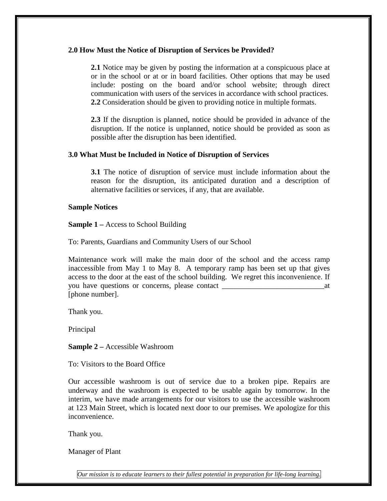#### **2.0 How Must the Notice of Disruption of Services be Provided?**

**2.1** Notice may be given by posting the information at a conspicuous place at or in the school or at or in board facilities. Other options that may be used include: posting on the board and/or school website; through direct communication with users of the services in accordance with school practices. **2.2** Consideration should be given to providing notice in multiple formats.

**2.3** If the disruption is planned, notice should be provided in advance of the disruption. If the notice is unplanned, notice should be provided as soon as possible after the disruption has been identified.

#### **3.0 What Must be Included in Notice of Disruption of Services**

**3.1** The notice of disruption of service must include information about the reason for the disruption, its anticipated duration and a description of alternative facilities or services, if any, that are available.

#### **Sample Notices**

**Sample 1 –** Access to School Building

To: Parents, Guardians and Community Users of our School

Maintenance work will make the main door of the school and the access ramp inaccessible from May 1 to May 8. A temporary ramp has been set up that gives access to the door at the east of the school building. We regret this inconvenience. If you have questions or concerns, please contact \_\_\_\_\_\_\_\_\_\_\_\_\_\_\_\_\_\_\_\_\_\_\_\_\_\_\_at [phone number].

Thank you.

Principal

**Sample 2 –** Accessible Washroom

To: Visitors to the Board Office

Our accessible washroom is out of service due to a broken pipe. Repairs are underway and the washroom is expected to be usable again by tomorrow. In the interim, we have made arrangements for our visitors to use the accessible washroom at 123 Main Street, which is located next door to our premises. We apologize for this inconvenience.

Thank you.

Manager of Plant

*Our mission is to educate learners to their fullest potential in preparation for life-long learning.*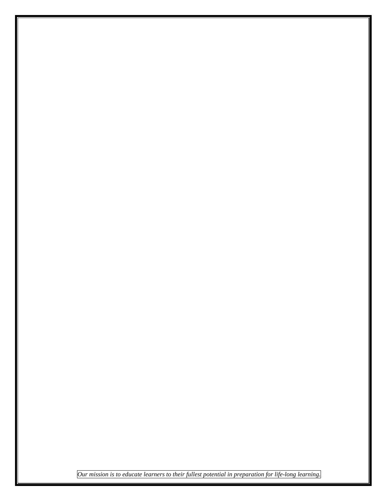*Our mission is to educate learners to their fullest potential in preparation for life-long learning.*